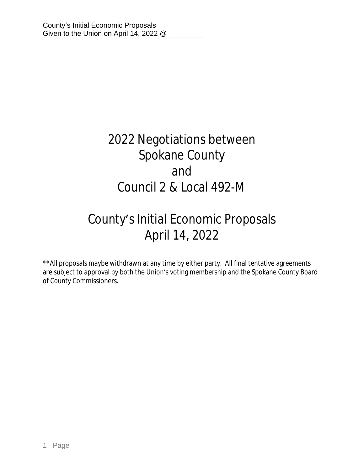# 2022 Negotiations between Spokane County and Council 2 & Local 492-M

# County's Initial Economic Proposals April 14, 2022

\*\*All proposals maybe withdrawn at any time by either party. All final tentative agreements are subject to approval by both the Union's voting membership and the Spokane County Board of County Commissioners.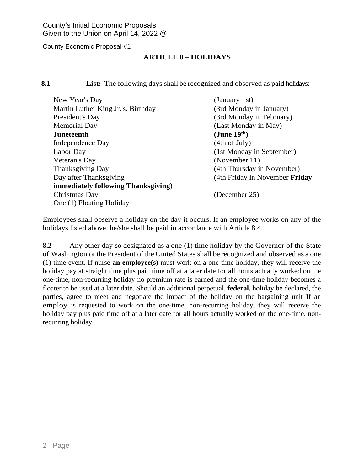# **ARTICLE 8** – **HOLIDAYS**

**8.1 List:** The following days shall be recognized and observed as paid holidays:

| New Year's Day                      | (January 1st)                  |
|-------------------------------------|--------------------------------|
| Martin Luther King Jr.'s. Birthday  | (3rd Monday in January)        |
| President's Day                     | (3rd Monday in February)       |
| <b>Memorial Day</b>                 | (Last Monday in May)           |
| Juneteenth                          | (June $19th$ )                 |
| Independence Day                    | (4th of July)                  |
| Labor Day                           | (1st Monday in September)      |
| Veteran's Day                       | (November 11)                  |
| Thanksgiving Day                    | (4th Thursday in November)     |
| Day after Thanksgiving              | (4th Friday in November Friday |
| immediately following Thanksgiving) |                                |
| Christmas Day                       | (December 25)                  |
| One (1) Floating Holiday            |                                |

Employees shall observe a holiday on the day it occurs. If an employee works on any of the holidays listed above, he/she shall be paid in accordance with Article 8.4.

**8.2** Any other day so designated as a one (1) time holiday by the Governor of the State of Washington or the President of the United States shall be recognized and observed as a one (1) time event. If nurse **an employee(s)** must work on a one-time holiday, they will receive the holiday pay at straight time plus paid time off at a later date for all hours actually worked on the one-time, non-recurring holiday no premium rate is earned and the one-time holiday becomes a floater to be used at a later date. Should an additional perpetual, **federal,** holiday be declared, the parties, agree to meet and negotiate the impact of the holiday on the bargaining unit If an employ is requested to work on the one-time, non-recurring holiday, they will receive the holiday pay plus paid time off at a later date for all hours actually worked on the one-time, nonrecurring holiday.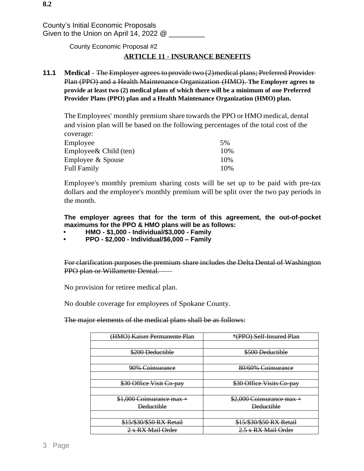# **ARTICLE 11 - INSURANCE BENEFITS**

**11.1** Medical - The Employer agrees to provide two (2) medical plans; Preferred Provider-Plan (PPO) and a Health Maintenance Organization (HMO). **The Employer agrees to provide at least two (2) medical plans of which there will be a minimum of one Preferred Provider Plans (PPO) plan and a Health Maintenance Organization (HMO) plan.**

The Employees' monthly premium share towards the PPO or HMO medical, dental and vision plan will be based on the following percentages of the total cost of the coverage:

| 5%   |
|------|
| 10%  |
| 10%  |
| 10\% |
|      |

Employee's monthly premium sharing costs will be set up to be paid with pre-tax dollars and the employee's monthly premium will be split over the two pay periods in the month.

**The employer agrees that for the term of this agreement, the out-of-pocket maximums for the PPO & HMO plans will be as follows:**

- **• HMO \$1,000 Individual/\$3,000 Family**
- **• PPO \$2,000 Individual/\$6,000 – Family**

For clarification purposes the premium share includes the Delta Dental of Washington PPO plan or Willamette Dental.

No provision for retiree medical plan.

No double coverage for employees of Spokane County.

The major elements of the medical plans shall be as follows:

| (HMO) Kaiser Permanente Plan | *(PPO) Self-Insured Plan   |
|------------------------------|----------------------------|
|                              |                            |
| \$200 Deductible             | \$500 Deductible           |
|                              |                            |
| 90% Coinsurance              | 80/60% Coinsurance         |
|                              |                            |
| \$30 Office Visit Co-pay     | \$30 Office Visits Co-pay  |
|                              |                            |
| \$1,000 Coinsurance max +    | $$2,000$ Coinsurance max + |
| <b>Deductible</b>            | <b>Deductible</b>          |
|                              |                            |
| \$15/\$30/\$50 RX Retail     | \$15/\$30/\$50 RX Retail   |
| $2 \times RX$ Mail Order     | 2.5 x RX Mail Order        |
|                              |                            |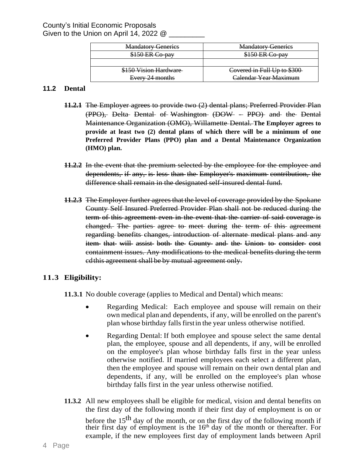| <b>Mandatory Generics</b>                 | <b>Mandatory Generics</b>                             |
|-------------------------------------------|-------------------------------------------------------|
| $^{\circ}$ nov<br><del>siju lin Cu-</del> | <del>5150 ER Co-pav</del><br>$^{\prime}$ $\alpha$ now |
|                                           |                                                       |
| \$150 Vision Hardware                     | Covered in Full Up to \$300                           |
| Every 24 months                           | Calendar Year Maximum                                 |

# **11.2 Dental**

- **11.2.1** The Employer agrees to provide two (2) dental plans; Preferred Provider Plan (PPO), Delta Dental of Washington (DOW - PPO) and the Dental Maintenance Organization (OMO), Willamette Dental. **The Employer agrees to provide at least two (2) dental plans of which there will be a minimum of one Preferred Provider Plans (PPO) plan and a Dental Maintenance Organization (HMO) plan.**
- **11.2.2** In the event that the premium selected by the employee for the employee and dependents, if any, is less than the Employer's maximum contribution, the difference shall remain in the designated self-insured dental fund.
- **11.2.3** The Employer further agreesthat the level of coverage provided by the Spokane County Self Insured Preferred Provider Plan shall not be reduced during the term of this agreement even in the event that the carrier of said coverage is changed. The parties agree to meet during the term of this agreement regarding benefits changes, introduction of alternate medical plans and any item that will assist both the County and the Union to consider cost containment issues. Any modifications to the medical benefits during the term cdthis agreement shall be by mutual agreement only.

# **11.3 Eligibility:**

**11.3.1** No double coverage (applies to Medical and Dental) which means:

- Regarding Medical: Each employee and spouse will remain on their own medical plan and dependents, if any, will be enrolled on the parent's plan whose birthday falls first in the year unless otherwise notified.
- Regarding Dental: If both employee and spouse select the same dental plan, the employee, spouse and all dependents, if any, will be enrolled on the employee's plan whose birthday falls first in the year unless otherwise notified. If married employees each select a different plan, then the employee and spouse will remain on their own dental plan and dependents, if any, will be enrolled on the employee's plan whose birthday falls first in the year unless otherwise notified.
- **11.3.2** All new employees shall be eligible for medical, vision and dental benefits on the first day of the following month if their first day of employment is on or before the  $15^{th}$  day of the month, or on the first day of the following month if their first day of employment is the 16<sup>th</sup> day of the month or thereafter. For example, if the new employees first day of employment lands between April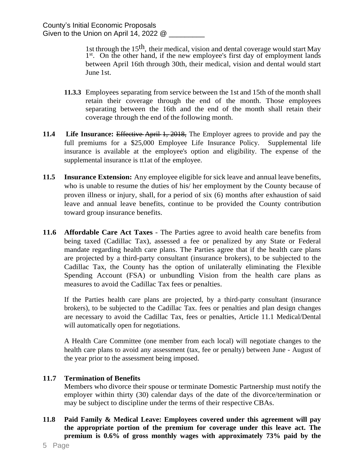1st through the 15th, their medical, vision and dental coverage would start May 1<sup>st</sup>. On the other hand, if the new employee's first day of employment lands between April 16th through 30th, their medical, vision and dental would start June 1st.

- **11.3.3** Employees separating from service between the 1st and 15th of the month shall retain their coverage through the end of the month. Those employees separating between the 16th and the end of the month shall retain their coverage through the end of the following month.
- **11.4 Life Insurance:** Effective April 1, 2018, The Employer agrees to provide and pay the full premiums for a \$25,000 Employee Life Insurance Policy. Supplemental life insurance is available at the employee's option and eligibility. The expense of the supplemental insurance is tt1at of the employee.
- **11.5 Insurance Extension:** Any employee eligible forsick leave and annual leave benefits, who is unable to resume the duties of his/ her employment by the County because of proven illness or injury, shall, for a period of six (6) months after exhaustion of said leave and annual leave benefits, continue to be provided the County contribution toward group insurance benefits.
- **11.6 Affordable Care Act Taxes** The Parties agree to avoid health care benefits from being taxed (Cadillac Tax), assessed a fee or penalized by any State or Federal mandate regarding health care plans. The Parties agree that if the health care plans are projected by a third-party consultant (insurance brokers), to be subjected to the Cadillac Tax, the County has the option of unilaterally eliminating the Flexible Spending Account (FSA) or unbundling Vision from the health care plans as measures to avoid the Cadillac Tax fees or penalties.

If the Parties health care plans are projected, by a third-party consultant (insurance brokers), to be subjected to the Cadillac Tax. fees or penalties and plan design changes are necessary to avoid the Cadillac Tax, fees or penalties, Article 11.1 Medical/Dental will automatically open for negotiations.

A Health Care Committee (one member from each local) will negotiate changes to the health care plans to avoid any assessment (tax, fee or penalty) between June - August of the year prior to the assessment being imposed.

# **11.7 Termination of Benefits**

Members who divorce their spouse or terminate Domestic Partnership must notify the employer within thirty (30) calendar days of the date of the divorce/termination or may be subject to discipline under the terms of their respective CBAs.

**11.8 Paid Family & Medical Leave: Employees covered under this agreement will pay the appropriate portion of the premium for coverage under this leave act. The premium is 0.6% of gross monthly wages with approximately 73% paid by the**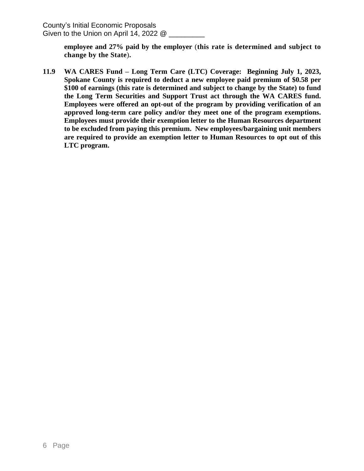County's Initial Economic Proposals Given to the Union on April 14, 2022 @ \_\_\_\_\_\_\_\_\_

> **employee and 27% paid by the employer** (**this rate is determined and subject to change by the State**)**.**

**11.9 WA CARES Fund – Long Term Care (LTC) Coverage: Beginning July 1, 2023, Spokane County is required to deduct a new employee paid premium of \$0.58 per \$100 of earnings (this rate is determined and subject to change by the State) to fund the Long Term Securities and Support Trust act through the WA CARES fund. Employees were offered an opt-out of the program by providing verification of an approved long-term care policy and/or they meet one of the program exemptions. Employees must provide their exemption letter to the Human Resources department to be excluded from paying this premium. New employees/bargaining unit members are required to provide an exemption letter to Human Resources to opt out of this LTC program.**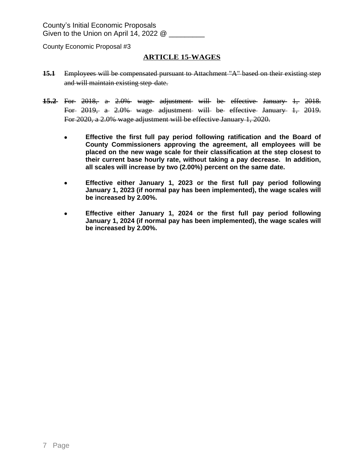## **ARTICLE 15-WAGES**

- **15.1** Employees will be compensated pursuant to Attachment "A" based on their existing step and will maintain existing step date.
- **15.2** For 2018, a 2.0% wage adjustment will be effective January 1, 2018. For 2019, a 2.0% wage adjustment will be effective January 1, 2019. For 2020, a 2.0% wage adjustment will be effective January 1, 2020.
	- **Effective the first full pay period following ratification and the Board of County Commissioners approving the agreement, all employees will be placed on the new wage scale for their classification at the step closest to their current base hourly rate, without taking a pay decrease. In addition, all scales will increase by two (2.00%) percent on the same date.**
	- **Effective either January 1, 2023 or the first full pay period following January 1, 2023 (if normal pay has been implemented), the wage scales will be increased by 2.00%.**
	- **Effective either January 1, 2024 or the first full pay period following January 1, 2024 (if normal pay has been implemented), the wage scales will be increased by 2.00%.**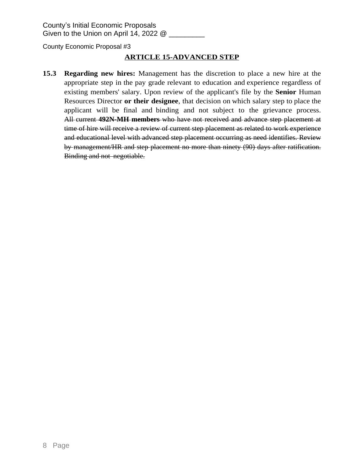County's Initial Economic Proposals Given to the Union on April 14, 2022 @ \_\_\_\_\_\_\_\_\_

County Economic Proposal #3

# **ARTICLE 15-ADVANCED STEP**

**15.3 Regarding new hires:** Management has the discretion to place a new hire at the appropriate step in the pay grade relevant to education and experience regardless of existing members' salary. Upon review of the applicant's file by the **Senior** Human Resources Director **or their designee**, that decision on which salary step to place the applicant will be final and binding and not subject to the grievance process. All current **492N-MH members** who have not received and advance step placement at time of hire will receive a review of current step placement as related to work experience and educational level with advanced step placement occurring as need identifies. Review by management/HR and step placement no more than ninety (90) days after ratification. Binding and not negotiable.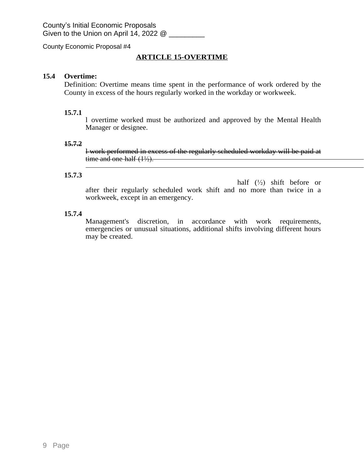# **ARTICLE 15-OVERTIME**

### **15.4 Overtime:**

Definition: Overtime means time spent in the performance of work ordered by the County in excess of the hours regularly worked in the workday or workweek.

#### **15.7.1**

l overtime worked must be authorized and approved by the Mental Health Manager or designee.

#### **15.7.2**

l work performed in excess of the regularly scheduled workday will be paid at time and one half  $(1\frac{1}{2})$ .

#### **15.7.3**

half  $(\frac{1}{2})$  shift before or after their regularly scheduled work shift and no more than twice in a workweek, except in an emergency.

#### **15.7.4**

Management's discretion, in accordance with work requirements, emergencies or unusual situations, additional shifts involving different hours may be created.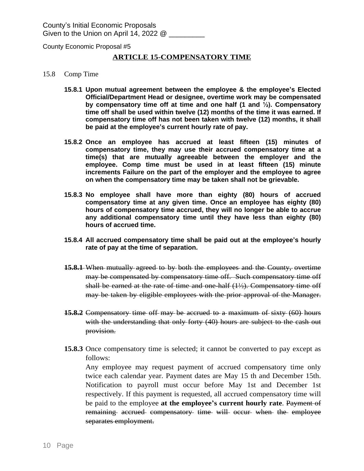County's Initial Economic Proposals Given to the Union on April 14, 2022  $@$ 

County Economic Proposal #5

#### **ARTICLE 15-COMPENSATORY TIME**

- 15.8 Comp Time
	- **15.8.1 Upon mutual agreement between the employee & the employee's Elected Official/Department Head or designee, overtime work may be compensated by compensatory time off at time and one half (1 and ½). Compensatory time off shall be used within twelve (12) months of the time it was earned. If compensatory time off has not been taken with twelve (12) months, it shall be paid at the employee's current hourly rate of pay.**
	- **15.8.2 Once an employee has accrued at least fifteen (15) minutes of compensatory time, they may use their accrued compensatory time at a time(s) that are mutually agreeable between the employer and the employee. Comp time must be used in at least fifteen (15) minute increments Failure on the part of the employer and the employee to agree on when the compensatory time may be taken shall not be grievable.**
	- **15.8.3 No employee shall have more than eighty (80) hours of accrued compensatory time at any given time. Once an employee has eighty (80) hours of compensatory time accrued, they will no longer be able to accrue any additional compensatory time until they have less than eighty (80) hours of accrued time.**
	- **15.8.4 All accrued compensatory time shall be paid out at the employee's hourly rate of pay at the time of separation.**
	- **15.8.1** When mutually agreed to by both the employees and the County, overtime may be compensated by compensatory time off. Such compensatory time off shall be earned at the rate of time and one-half  $(1/2)$ . Compensatory time off may be taken by eligible employees with the prior approval of the Manager.
	- **15.8.2** Compensatory time off may be accrued to a maximum of sixty (60) hours with the understanding that only forty (40) hours are subject to the cash out provision.
	- **15.8.3** Once compensatory time is selected; it cannot be converted to pay except as follows:

Any employee may request payment of accrued compensatory time only twice each calendar year. Payment dates are May 15 th and December 15th. Notification to payroll must occur before May 1st and December 1st respectively. If this payment is requested, all accrued compensatory time will be paid to the employee **at the employee's current hourly rate**. Payment of remaining accrued compensatory time will occur when the employee separates employment.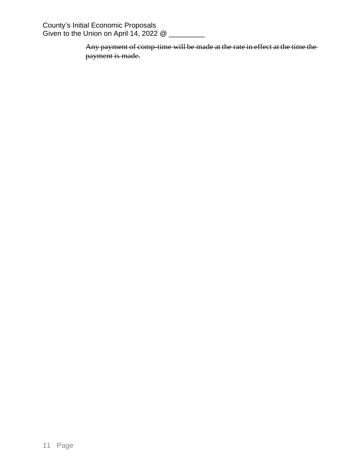County's Initial Economic Proposals Given to the Union on April 14, 2022 @ \_\_\_\_\_\_\_\_\_

> Any payment of comp-time will be made at the rate in effect at the time the payment is made.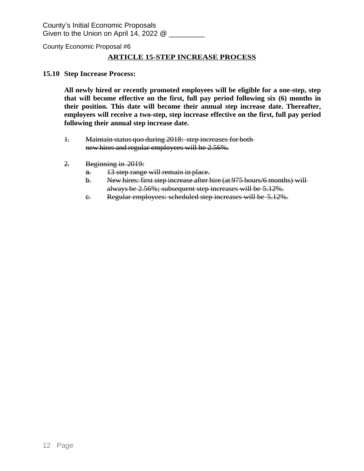County's Initial Economic Proposals Given to the Union on April 14, 2022  $@$ 

County Economic Proposal #6

## **ARTICLE 15-STEP INCREASE PROCESS**

#### **15.10 Step Increase Process:**

**All newly hired or recently promoted employees will be eligible for a one-step, step that will become effective on the first, full pay period following six (6) months in their position. This date will become their annual step increase date. Thereafter, employees will receive a two-step, step increase effective on the first, full pay period following their annual step increase date.**

- 1. Maintain status quo during 2018: step increases for both new hires and regular employees will be 2.56%.
- 2. Beginning in 2019:
	- a. 13 step range will remain in place.
	- b. New hires: first step increase after hire (at 975 hours/6 months) will always be 2.56%; subsequent step increases will be 5.12%.
	- c. Regular employees: scheduled step increases will be 5.12%.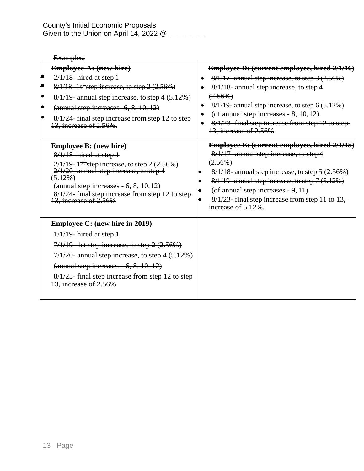# Examples:

| <b>Employee A: (new hire)</b><br>▲<br>$2/1/18$ -hired at step 1<br>∙<br>$8/1/18 - 1$ s <sup>t-</sup> step increase, to step 2 (2.56%)<br>∙<br>٠.<br>$(annual step increases-6, 8, 10, 12)$<br>۰<br>13, increase of 2.56%.                                   | $8/1/19$ -annual step increase, to step 4 $(5.12%)$<br>8/1/24-final step increase from step 12 to step | Employee D: (current employee, hired 2/1/16)<br>$8/1/17$ - annual step increase, to step 3 $(2.56%)$<br>8/1/18-annual step increase, to step 4<br>$(2.56\%)$<br>8/1/19-annual step increase, to step 6 (5.12%)<br>(of annual step increases $-8$ , 10, 12)<br>8/1/23-final step increase from step 12 to step-                                                        |
|-------------------------------------------------------------------------------------------------------------------------------------------------------------------------------------------------------------------------------------------------------------|--------------------------------------------------------------------------------------------------------|-----------------------------------------------------------------------------------------------------------------------------------------------------------------------------------------------------------------------------------------------------------------------------------------------------------------------------------------------------------------------|
| <b>Employee B: (new hire)</b><br>$8/1/18$ -hired at step 1<br>$2/1/19-1$ <sup>st</sup> step increase, to step 2 (2.56%)<br>2/1/20-annual step increase, to step 4<br>$(5.12\%)$<br>$(\text{annual step increases} - 6, 8, 10, 12)$<br>13, increase of 2.56% | 8/1/24-final step increase from step 12 to step-                                                       | 13, increase of 2.56%<br><b>Employee E: (current employee, hired 2/1/15)</b><br>8/1/17- annual step increase, to step4<br>$(2.56\%)$<br>$8/1/18$ - annual step increase, to step $5(2.56%)$<br>$8/1/19$ -annual step increase, to step 7 (5.12%)<br>$($ of annual step increases $-9,11)$<br>8/1/23-final step increase from step 11 to 13,<br>increase of $5.12\%$ . |
| <b>Employee C: (new hire in 2019)</b><br>$1/1/19$ -hired at step 1<br>$7/1/19$ - 1st step increase, to step 2 $(2.56%)$<br>$(\text{annual step increases} - 6, 8, 10, 12)$<br>13, increase of 2.56%                                                         | $7/1/20$ -annual step increase, to step $4(5.12%)$<br>8/1/25-final step increase from step 12 to step- |                                                                                                                                                                                                                                                                                                                                                                       |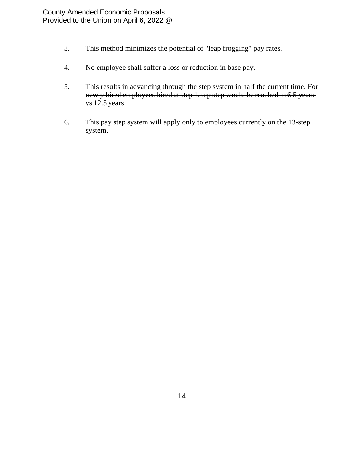- 3. This method minimizes the potential of "leap frogging" pay rates.
- 4. No employee shall suffer a loss or reduction in base pay.
- 5. This results in advancing through the step system in half the current time. For newly hired employees hired at step 1, top step would be reached in 6.5 years vs 12.5 years.
- 6. This pay step system will apply only to employees currently on the 13-step system.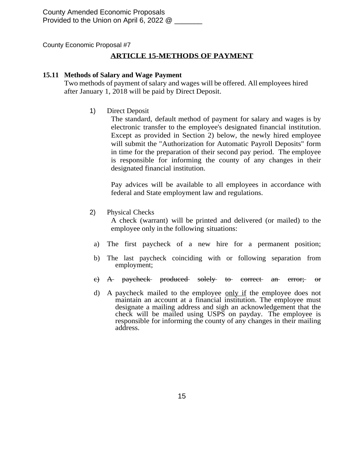County Amended Economic Proposals Provided to the Union on April 6, 2022 @

County Economic Proposal #7

# **ARTICLE 15-METHODS OF PAYMENT**

#### **15.11 Methods of Salary and Wage Payment**

Two methods of payment of salary and wages will be offered. All employees hired after January 1, 2018 will be paid by Direct Deposit.

1) Direct Deposit

The standard, default method of payment for salary and wages is by electronic transfer to the employee's designated financial institution. Except as provided in Section 2) below, the newly hired employee will submit the "Authorization for Automatic Payroll Deposits" form in time for the preparation of their second pay period. The employee is responsible for informing the county of any changes in their designated financial institution.

Pay advices will be available to all employees in accordance with federal and State employment law and regulations.

2) Physical Checks

A check (warrant) will be printed and delivered (or mailed) to the employee only in the following situations:

- a) The first paycheck of a new hire for a permanent position;
- b) The last paycheck coinciding with or following separation from employment;
- c) A paycheck produced solely to correct an error; or
- d) A paycheck mailed to the employee only if the employee does not maintain an account at a financial institution. The employee must designate a mailing address and sigh an acknowledgement that the check will be mailed using USPS on payday. The employee is responsible for informing the county of any changes in their mailing address.